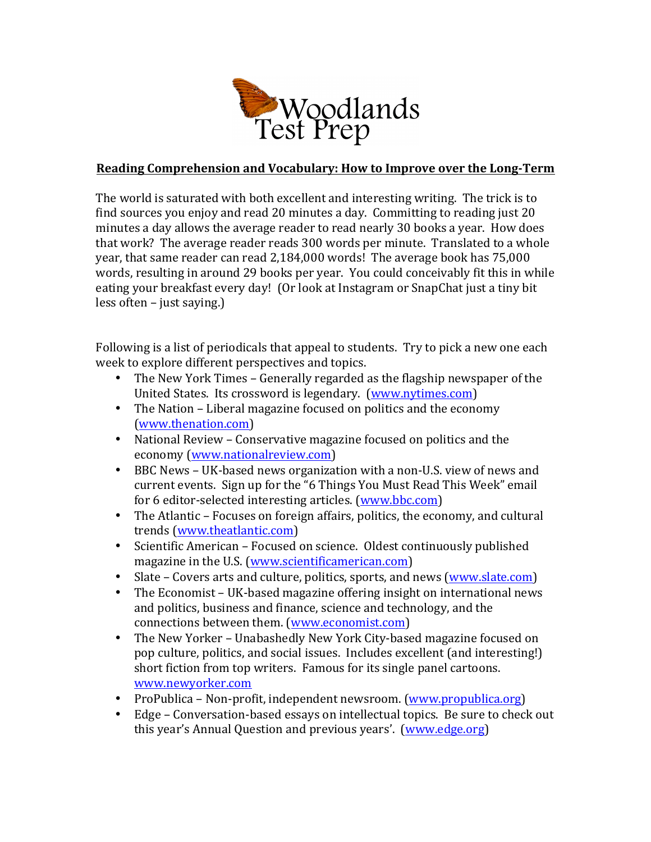

## **Reading Comprehension and Vocabulary: How to Improve over the Long-Term**

The world is saturated with both excellent and interesting writing. The trick is to find sources you enjoy and read 20 minutes a day. Committing to reading just  $20$ minutes a day allows the average reader to read nearly 30 books a year. How does that work? The average reader reads 300 words per minute. Translated to a whole year, that same reader can read 2,184,000 words! The average book has 75,000 words, resulting in around 29 books per year. You could conceivably fit this in while eating your breakfast every day! (Or look at Instagram or SnapChat just a tiny bit  $less often - just saying.$ )

Following is a list of periodicals that appeal to students. Try to pick a new one each week to explore different perspectives and topics.

- The New York Times Generally regarded as the flagship newspaper of the United States. Its crossword is legendary. (www.nytimes.com)
- The Nation Liberal magazine focused on politics and the economy (www.thenation.com)
- National Review Conservative magazine focused on politics and the economy (www.nationalreview.com)
- BBC News UK-based news organization with a non-U.S. view of news and current events. Sign up for the "6 Things You Must Read This Week" email for 6 editor-selected interesting articles. (www.bbc.com)
- The Atlantic Focuses on foreign affairs, politics, the economy, and cultural trends (www.theatlantic.com)
- Scientific American Focused on science. Oldest continuously published magazine in the U.S. (www.scientificamerican.com)
- Slate Covers arts and culture, politics, sports, and news (www.slate.com)
- The Economist UK-based magazine offering insight on international news and politics, business and finance, science and technology, and the connections between them. (www.economist.com)
- The New Yorker Unabashedly New York City-based magazine focused on pop culture, politics, and social issues. Includes excellent (and interesting!) short fiction from top writers. Famous for its single panel cartoons. www.newyorker.com
- ProPublica Non-profit, independent newsroom. (www.propublica.org)
- Edge Conversation-based essays on intellectual topics. Be sure to check out this year's Annual Question and previous years'. (www.edge.org)